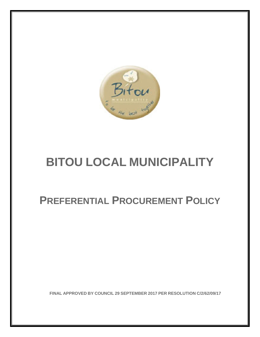

# **BITOU LOCAL MUNICIPALITY**

# **PREFERENTIAL PROCUREMENT POLICY**

**FINAL APPROVED BY COUNCIL 29 SEPTEMBER 2017 PER RESOLUTION C/2/62/09/17**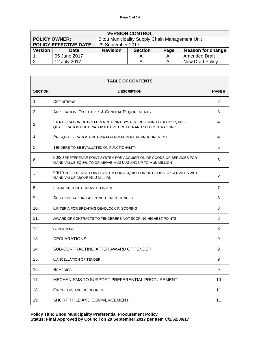| <b>VERSION CONTROL</b>        |                      |                                                 |                |      |                          |
|-------------------------------|----------------------|-------------------------------------------------|----------------|------|--------------------------|
|                               | <b>POLICY OWNER:</b> | Bitou Municipality Supply Chain Management Unit |                |      |                          |
| <b>POLICY EFFECTIVE DATE:</b> |                      | 29 September 2017                               |                |      |                          |
| <b>Version</b>                | <b>Date</b>          | <b>Revision</b>                                 | <b>Section</b> | Page | <b>Reason for change</b> |
|                               | 05 June 2017         |                                                 | All            | All  | <b>Amended Draft</b>     |
|                               | 12 July 2017         |                                                 | All            | All  | <b>New Draft Policy</b>  |

| <b>TABLE OF CONTENTS</b> |                                                                                                                                             |                |  |
|--------------------------|---------------------------------------------------------------------------------------------------------------------------------------------|----------------|--|
| <b>SECTION</b>           | <b>DESCRIPTION</b>                                                                                                                          | PAGE#          |  |
| 1.                       | <b>DEFINITIONS</b>                                                                                                                          | 2              |  |
| 2.                       | APPLICATION, OBJECTIVES & GENERAL REQUIREMENTS                                                                                              | 3              |  |
| 3.                       | <b>IDENTIFICATION OF PREFERENCE POINT SYSTEM, DESIGNATED SECTOR, PRE-</b><br>QUALIFICATION CRITERIA, OBJECTIVE CRITERIA AND SUB-CONTRACTING | 4              |  |
| 4.                       | PRE-QUALIFICATION CRITERIA FOR PREFERENTIAL PROCUREMENT                                                                                     | 4              |  |
| 5.                       | TENDERS TO BE EVALUATED ON FUNCTIONALITY                                                                                                    | 5              |  |
| 6.                       | 80/20 PREFERENCE POINT SYSTEM FOR ACQUISITION OF GOODS OR SERVICES FOR<br>RAND VALUE EQUAL TO OR ABOVE R30 000 AND UP TO R50 MILLION        | 5              |  |
| 7.                       | 90/10 PREFERENCE POINT SYSTEM FOR ACQUISITION OF GOODS OR SERVICES WITH<br>RAND VALUE ABOVE R50 MILLION                                     | 6              |  |
| 8.                       | LOCAL PRODUCTION AND CONTENT                                                                                                                | $\overline{7}$ |  |
| 9.                       | SUB-CONTRACTING AS CONDITION OF TENDER                                                                                                      | 8              |  |
| 10.                      | CRITERIA FOR BREAKING DEADLOCK IN SCORING                                                                                                   | 8              |  |
| 11.                      | AWARD OF CONTRACTS TO TENDERERS NOT SCORING HIGHEST POINTS                                                                                  | 8              |  |
| 12.                      | <b>CONDITIONS</b>                                                                                                                           | 8              |  |
| 13.                      | <b>DECLARATIONS</b>                                                                                                                         | 9              |  |
| 14.                      | SUB-CONTRACTING AFTER AWARD OF TENDER                                                                                                       | 9              |  |
| 15.                      | <b>CANCELLATION OF TENDER</b>                                                                                                               | 9              |  |
| 16.                      | <b>REMEDIES</b>                                                                                                                             | 9              |  |
| 17.                      | MECHANISMS TO SUPPORT PREFERENTIAL PROCUREMENT                                                                                              | 10             |  |
| 18.                      | <b>CIRCULARS AND GUIDELINES</b>                                                                                                             | 11             |  |
| 19.                      | SHORT TITLE AND COMMENCEMENT                                                                                                                | 11             |  |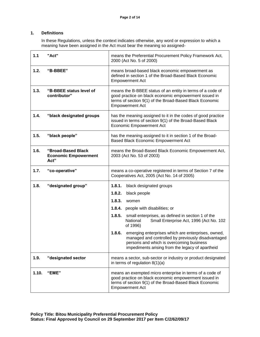# **1. Definitions**

In these Regulations, unless the context indicates otherwise, any word or expression to which a meaning have been assigned in the Act must bear the meaning so assigned-

| 1.1   | "Act"                                                     | means the Preferential Procurement Policy Framework Act,<br>2000 (Act No. 5 of 2000)                                                                                                                               |  |
|-------|-----------------------------------------------------------|--------------------------------------------------------------------------------------------------------------------------------------------------------------------------------------------------------------------|--|
| 1.2.  | "B-BBEE"                                                  | means broad-based black economic empowerment as<br>defined in section 1 of the Broad-Based Black Economic<br><b>Empowerment Act</b>                                                                                |  |
| 1.3.  | "B-BBEE status level of<br>contributor"                   | means the B-BBEE status of an entity in terms of a code of<br>good practice on black economic empowerment issued in<br>terms of section 9(1) of the Broad-Based Black Economic<br><b>Empowerment Act</b>           |  |
| 1.4.  | "black designated groups                                  | has the meaning assigned to it in the codes of good practice<br>issued in terms of section 9(1) of the Broad-Based Black<br><b>Economic Empowerment Act</b>                                                        |  |
| 1.5.  | "black people"                                            | has the meaning assigned to it in section 1 of the Broad-<br>Based Black Economic Empowerment Act                                                                                                                  |  |
| 1.6.  | "Broad-Based Black<br><b>Economic Empowerment</b><br>Act" | means the Broad-Based Black Economic Empowerment Act,<br>2003 (Act No. 53 of 2003)                                                                                                                                 |  |
| 1.7.  | "co-operative"                                            | means a co-operative registered in terms of Section 7 of the<br>Cooperatives Act, 2005 (Act No. 14 of 2005)                                                                                                        |  |
| 1.8.  | "designated group"                                        | 1.8.1.<br>black designated groups                                                                                                                                                                                  |  |
|       |                                                           | 1.8.2.<br>black people                                                                                                                                                                                             |  |
|       |                                                           | 1.8.3.<br>women                                                                                                                                                                                                    |  |
|       |                                                           | 1.8.4.<br>people with disabilities; or                                                                                                                                                                             |  |
|       |                                                           | 1.8.5.<br>small enterprises, as defined in section 1 of the<br>Small Enterprise Act, 1996 (Act No. 102<br>National<br>of 1996)                                                                                     |  |
|       |                                                           | 1.8.6.<br>emerging enterprises which are enterprises, owned,<br>managed and controlled by previously disadvantaged<br>persons and which is overcoming business<br>impediments arising from the legacy of apartheid |  |
| 1.9.  | "designated sector                                        | means a sector, sub-sector or industry or product designated<br>in terms of regulation $8(1)(a)$                                                                                                                   |  |
| 1.10. | "EME"                                                     | means an exempted micro enterprise in terms of a code of<br>good practice on black economic empowerment issued in<br>terms of section 9(1) of the Broad-Based Black Economic<br><b>Empowerment Act</b>             |  |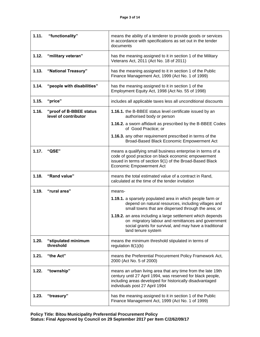| 1.11. | "functionality"                                 | means the ability of a tenderer to provide goods or services<br>in accordance with specifications as set out in the tender<br>documents                                                                                  |
|-------|-------------------------------------------------|--------------------------------------------------------------------------------------------------------------------------------------------------------------------------------------------------------------------------|
| 1.12. | "military veteran"                              | has the meaning assigned to it in section 1 of the Military<br>Veterans Act, 2011 (Act No. 18 of 2011)                                                                                                                   |
| 1.13. | "National Treasury"                             | has the meaning assigned to it in section 1 of the Public<br>Finance Management Act, 1999 (Act No. 1 of 1999)                                                                                                            |
| 1.14. | "people with disabilities"                      | has the meaning assigned to it in section 1 of the<br>Employment Equity Act, 1998 (Act No. 55 of 1998)                                                                                                                   |
| 1.15. | "price"                                         | includes all applicable taxes less all unconditional discounts                                                                                                                                                           |
| 1.16. | "proof of B-BBEE status<br>level of contributor | 1.16.1. the B-BBEE status level certificate issued by an<br>authorised body or person                                                                                                                                    |
|       |                                                 | 1.16.2. a sworn affidavit as prescribed by the B-BBEE Codes<br>of Good Practice; or                                                                                                                                      |
|       |                                                 | 1.16.3. any other requirement prescribed in terms of the<br>Broad-Based Black Economic Empowerment Act                                                                                                                   |
| 1.17. | "QSE"                                           | means a qualifying small business enterprise in terms of a<br>code of good practice on black economic empowerment<br>issued in terms of section 9(1) of the Broad-Based Black<br><b>Economic Empowerment Act</b>         |
| 1.18. | "Rand value"                                    | means the total estimated value of a contract in Rand,<br>calculated at the time of the tender invitation                                                                                                                |
| 1.19. | "rural area"                                    | means-                                                                                                                                                                                                                   |
|       |                                                 | 1.19.1. a sparsely populated area in which people farm or<br>depend on natural resources, including villages and<br>small towns that are dispersed through the area; or                                                  |
|       |                                                 | 1.19.2. an area including a large settlement which depends<br>on migratory labour and remittances and government<br>social grants for survival, and may have a traditional<br>land tenure system                         |
| 1.20. | "stipulated minimum<br>threshold                | means the minimum threshold stipulated in terms of<br>regulation $8(1)(b)$                                                                                                                                               |
| 1.21. | "the Act"                                       | means the Preferential Procurement Policy Framework Act,<br>2000 (Act No. 5 of 2000)                                                                                                                                     |
| 1.22. | "township"                                      | means an urban living area that any time from the late 19th<br>century until 27 April 1994, was reserved for black people,<br>including areas developed for historically disadvantaged<br>individuals post 27 April 1994 |
| 1.23. | "treasury"                                      | has the meaning assigned to it in section 1 of the Public<br>Finance Management Act, 1999 (Act No. 1 of 1999)                                                                                                            |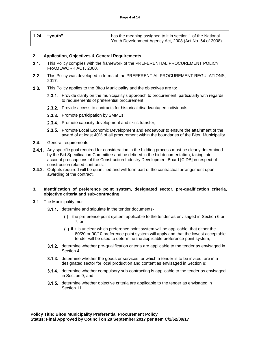| 1.24. | "vouth" | has the meaning assigned to it in section 1 of the National |
|-------|---------|-------------------------------------------------------------|
|       |         | Youth Development Agency Act, 2008 (Act No. 54 of 2008)     |

#### **2. Application, Objectives & General Requirements**

- $2.1.$ This Policy complies with the framework of the PREFERENTIAL PROCUREMENT POLICY FRAMEWORK ACT, 2000.
- $2.2.$ This Policy was developed in terms of the PREFERENTIAL PROCUREMENT REGULATIONS, 2017.
- $2.3.$ This Policy applies to the Bitou Municipality and the objectives are to:
	- 2.3.1. Provide clarity on the municipality's approach to procurement, particularly with regards to requirements of preferential procurement;
	- **2.3.2.** Provide access to contracts for historical disadvantaged individuals;
	- **2.3.3.** Promote participation by SMMEs;
	- **2.3.4.** Promote capacity development and skills transfer;
	- **2.3.5.** Promote Local Economic Development and endeavour to ensure the attainment of the award of at least 40% of all procurement within the boundaries of the Bitou Municipality.
- $2.4.$ General requirements
- 2.4.1. Any specific goal required for consideration in the bidding process must be clearly determined by the Bid Specification Committee and be defined in the bid documentation, taking into account prescriptions of the Construction Industry Development Board [CIDB] in respect of construction related contracts.
- **2.4.2.** Outputs required will be quantified and will form part of the contractual arrangement upon awarding of the contract.

#### **3. Identification of preference point system, designated sector, pre-qualification criteria, objective criteria and sub-contracting**

- 3.1. The Municipality must-
	- 3.1.1. determine and stipulate in the tender documents-
		- $(i)$  the preference point system applicable to the tender as envisaged in Section 6 or 7; or
		- (ii) if it is unclear which preference point system will be applicable, that either the 80/20 or 90/10 preference point system will apply and that the lowest acceptable tender will be used to determine the applicable preference point system;
	- **3.1.2.** determine whether pre-qualification criteria are applicable to the tender as envisaged in Section 4;
	- **3.1.3.** determine whether the goods or services for which a tender is to be invited, are in a designated sector for local production and content as envisaged in Section 8;
	- **3.1.4.** determine whether compulsory sub-contracting is applicable to the tender as envisaged in Section 9; and
	- **3.1.5.** determine whether objective criteria are applicable to the tender as envisaged in Section 11.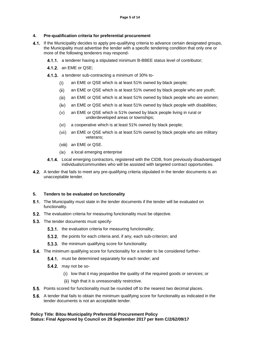#### **4. Pre-qualification criteria for preferential procurement**

- 4.1. If the Municipality decides to apply pre-qualifying criteria to advance certain designated groups, the Municipality must advertise the tender with a specific tendering condition that only one or more of the following tenderers may respond-
	- **4.1.1.** a tenderer having a stipulated minimum B-BBEE status level of contributor;
	- **4.1.2.** an EME or QSE;
	- 4.1.3. a tenderer sub-contracting a minimum of 30% to
		- an EME or QSE which is at least 51% owned by black people;  $(i)$
		- an EME or QSE which is at least 51% owned by black people who are youth;  $(ii)$
		- $(iii)$ an EME or QSE which is at least 51% owned by black people who are women;
		- $(iv)$ an EME or QSE which is at least 51% owned by black people with disabilities;
		- an EME or QSE which is 51% owned by black people living in rural or  $(v)$ underdeveloped areas or townships;
		- a cooperative which is at least 51% owned by black people;  $(vi)$
		- an EME or QSE which is at least 51% owned by black people who are military veterans;
		- (viii) an EME or QSE.
		- a local emerging enterprise
	- **4.1.4.** Local emerging contractors, registered with the CIDB, from previously disadvantaged individuals/communities who will be assisted with targeted contract opportunities.
- **4.2.** A tender that fails to meet any pre-qualifying criteria stipulated in the tender documents is an unacceptable tender.

# **5. Tenders to be evaluated on functionality**

- **5.1.** The Municipality must state in the tender documents if the tender will be evaluated on functionality.
- **5.2.** The evaluation criteria for measuring functionality must be objective.
- **5.3.** The tender documents must specify-
	- **5.3.1.** the evaluation criteria for measuring functionality;
	- 5.3.2. the points for each criteria and, if any, each sub-criterion; and
	- **5.3.3.** the minimum qualifying score for functionality.
- **5.4.** The minimum qualifying score for functionality for a tender to be considered further-
	- **5.4.1.** must be determined separately for each tender; and
	- $5.4.2$ . may not be so-
		- (i) low that it may jeopardise the quality of the required goods or services; or
		- (ii) high that it is unreasonably restrictive.
- **5.5.** Points scored for functionality must be rounded off to the nearest two decimal places.
- 5.6. A tender that fails to obtain the minimum qualifying score for functionality as indicated in the tender documents is not an acceptable tender.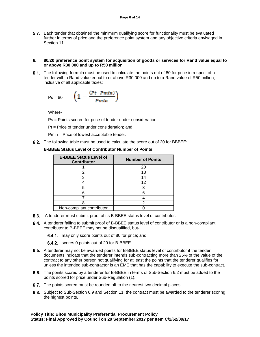5.7. Each tender that obtained the minimum qualifying score for functionality must be evaluated further in terms of price and the preference point system and any objective criteria envisaged in Section 11.

#### **6. 80/20 preference point system for acquisition of goods or services for Rand value equal to or above R30 000 and up to R50 million**

6.1. The following formula must be used to calculate the points out of 80 for price in respect of a tender with a Rand value equal to or above R30 000 and up to a Rand value of R50 million, inclusive of all applicable taxes:

$$
Ps = 80 \qquad \left(1 - \frac{(Pt-Pmin)}{Pmin}\right)
$$

Where-

Ps = Points scored for price of tender under consideration;

Pt = Price of tender under consideration; and

Pmin = Price of lowest acceptable tender.

**6.2.** The following table must be used to calculate the score out of 20 for BBBEE:

# **B-BBEE Status Level of Contributor Number of Points**

| <b>B-BBEE Status Level of</b><br><b>Contributor</b> | <b>Number of Points</b> |
|-----------------------------------------------------|-------------------------|
|                                                     | 20                      |
|                                                     | 18                      |
|                                                     | 14                      |
|                                                     | 12                      |
| 5                                                   |                         |
|                                                     |                         |
|                                                     |                         |
|                                                     | 2                       |
| Non-compliant contributor                           |                         |

- **6.3.** A tenderer must submit proof of its B-BBEE status level of contributor.
- 6.4. A tenderer failing to submit proof of B-BBEE status level of contributor or is a non-compliant contributor to B-BBEE may not be disqualified, but-

**6.4.1.** may only score points out of 80 for price; and

- **6.4.2.** scores 0 points out of 20 for B-BBEE.
- 6.5. A tenderer may not be awarded points for B-BBEE status level of contributor if the tender documents indicate that the tenderer intends sub-contracting more than 25% of the value of the contract to any other person not qualifying for at least the points that the tenderer qualifies for, unless the intended sub-contractor is an EME that has the capability to execute the sub-contract.
- 6.6. The points scored by a tenderer for B-BBEE in terms of Sub-Section 6.2 must be added to the points scored for price under Sub-Regulation (1).
- **6.7.** The points scored must be rounded off to the nearest two decimal places.
- 6.8. Subject to Sub-Section 6.9 and Section 11, the contract must be awarded to the tenderer scoring the highest points.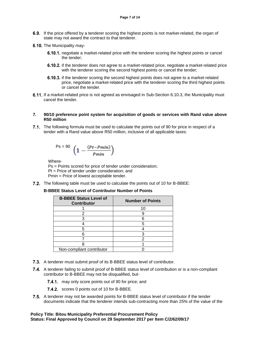- 6.9. If the price offered by a tenderer scoring the highest points is not market-related, the organ of state may not award the contract to that tenderer.
- 6.10. The Municipality may-
	- 6.10.1, negotiate a market-related price with the tenderer scoring the highest points or cancel the tender;
	- 6.10.2. if the tenderer does not agree to a market-related price, negotiate a market-related price with the tenderer scoring the second highest points or cancel the tender;
	- 6.10.3. if the tenderer scoring the second highest points does not agree to a market-related price, negotiate a market-related price with the tenderer scoring the third highest points or cancel the tender.
- 6.11. If a market-related price is not agreed as envisaged in Sub-Section 6.10.3, the Municipality must cancel the tender.

#### **7. 90/10 preference point system for acquisition of goods or services with Rand value above R50 million**

7.1. The following formula must be used to calculate the points out of 90 for price in respect of a tender with a Rand value above R50 million, inclusive of all applicable taxes:

$$
Ps = 90 \left(1 - \frac{(Pt-Pmin)}{Pmin}\right)
$$

Where-

Ps = Points scored for price of tender under consideration; Pt = Price of tender under consideration; and Pmin = Price of lowest acceptable tender.

**7.2.** The following table must be used to calculate the points out of 10 for B-BBEE:

# **B-BBEE Status Level of Contributor Number of Points**

| <b>B-BBEE Status Level of</b><br><b>Contributor</b> | <b>Number of Points</b> |
|-----------------------------------------------------|-------------------------|
|                                                     | 10                      |
|                                                     |                         |
| ٩                                                   |                         |
|                                                     | 5                       |
|                                                     |                         |
|                                                     |                         |
|                                                     |                         |
|                                                     |                         |
| Non-compliant contributor                           |                         |

- 7.3. A tenderer must submit proof of its B-BBEE status level of contributor.
- 7.4. A tenderer failing to submit proof of B-BBEE status level of contribution or is a non-compliant contributor to B-BBEE may not be disqualified, but-
	- 7.4.1 may only score points out of 90 for price; and
	- 7.4.2. scores 0 points out of 10 for B-BBEE.
- 7.5. A tenderer may not be awarded points for B-BBEE status level of contributor if the tender documents indicate that the tenderer intends sub-contracting more than 25% of the value of the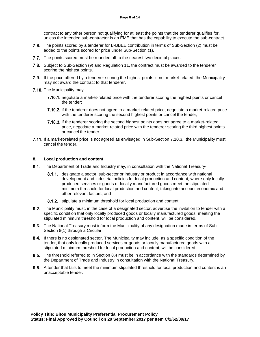contract to any other person not qualifying for at least the points that the tenderer qualifies for, unless the intended sub-contractor is an EME that has the capability to execute the sub-contract.

- 7.6. The points scored by a tenderer for B-BBEE contribution in terms of Sub-Section (2) must be added to the points scored for price under Sub-Section (1).
- 7.7. The points scored must be rounded off to the nearest two decimal places.
- 7.8. Subject to Sub-Section (9) and Regulation 11, the contract must be awarded to the tenderer scoring the highest points.
- 7.9. If the price offered by a tenderer scoring the highest points is not market-related, the Municipality may not award the contract to that tenderer.
- 7.10. The Municipality may-
	- 7.10.1. negotiate a market-related price with the tenderer scoring the highest points or cancel the tender;
	- 7.10.2. if the tenderer does not agree to a market-related price, negotiate a market-related price with the tenderer scoring the second highest points or cancel the tender;
	- 7.10.3. if the tenderer scoring the second highest points does not agree to a market-related price, negotiate a market-related price with the tenderer scoring the third highest points or cancel the tender.
- **7.11.** If a market-related price is not agreed as envisaged in Sub-Section 7.10.3., the Municipality must cancel the tender.

## **8. Local production and content**

- 8.1. The Department of Trade and Industry may, in consultation with the National Treasury-
	- **8.1.1.** designate a sector, sub-sector or industry or product in accordance with national development and industrial policies for local production and content, where only locally produced services or goods or locally manufactured goods meet the stipulated minimum threshold for local production and content, taking into account economic and other relevant factors; and
	- 8.1.2. stipulate a minimum threshold for local production and content.
- 8.2. The Municipality must, in the case of a designated sector, advertise the invitation to tender with a specific condition that only locally produced goods or locally manufactured goods, meeting the stipulated minimum threshold for local production and content, will be considered.
- 8.3. The National Treasury must inform the Municipality of any designation made in terms of Sub-Section 8(1) through a Circular.
- 8.4. If there is no designated sector, The Municipality may include, as a specific condition of the tender, that only locally produced services or goods or locally manufactured goods with a stipulated minimum threshold for local production and content, will be considered.
- 8.5. The threshold referred to in Section 8.4 must be in accordance with the standards determined by the Department of Trade and Industry in consultation with the National Treasury.
- 8.6. A tender that fails to meet the minimum stipulated threshold for local production and content is an unacceptable tender.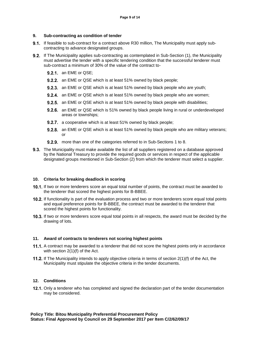## **9. Sub-contracting as condition of tender**

- **9.1.** If feasible to sub-contract for a contract above R30 million, The Municipality must apply subcontracting to advance designated groups.
- 9.2. If The Municipality applies sub-contracting as contemplated in Sub-Section (1), the Municipality must advertise the tender with a specific tendering condition that the successful tenderer must sub-contract a minimum of 30% of the value of the contract to-
	- **9.2.1.** an EME or QSE;
	- **9.2.2.** an EME or QSE which is at least 51% owned by black people;
	- **9.2.3.** an EME or QSE which is at least 51% owned by black people who are youth;
	- **9.2.4.** an EME or QSE which is at least 51% owned by black people who are women;
	- **9.2.5.** an EME or QSE which is at least 51% owned by black people with disabilities;
	- **9.2.6.** an EME or QSE which is 51% owned by black people living in rural or underdeveloped areas or townships;
	- **9.2.7.** a cooperative which is at least 51% owned by black people;
	- **9.2.8.** an EME or QSE which is at least 51% owned by black people who are military veterans; or
	- 9.2.9. more than one of the categories referred to in Sub-Sections 1 to 8.
- **9.3.** The Municipality must make available the list of all suppliers registered on a database approved by the National Treasury to provide the required goods or services in respect of the applicable designated groups mentioned in Sub-Section (2) from which the tenderer must select a supplier.

#### **10. Criteria for breaking deadlock in scoring**

- 10.1. If two or more tenderers score an equal total number of points, the contract must be awarded to the tenderer that scored the highest points for B-BBEE.
- 10.2. If functionality is part of the evaluation process and two or more tenderers score equal total points and equal preference points for B-BBEE, the contract must be awarded to the tenderer that scored the highest points for functionality.
- 10.3. If two or more tenderers score equal total points in all respects, the award must be decided by the drawing of lots.

#### **11. Award of contracts to tenderers not scoring highest points**

- 11.1. A contract may be awarded to a tenderer that did not score the highest points only in accordance with section 2(1)(f) of the Act.
- **11.2.** If The Municipality intends to apply objective criteria in terms of section 2(1)(f) of the Act, the Municipality must stipulate the objective criteria in the tender documents.

# **12. Conditions**

**12.1.** Only a tenderer who has completed and signed the declaration part of the tender documentation may be considered.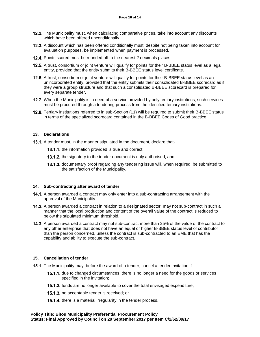- 12.2. The Municipality must, when calculating comparative prices, take into account any discounts which have been offered unconditionally.
- 12.3. A discount which has been offered conditionally must, despite not being taken into account for evaluation purposes, be implemented when payment is processed.
- 12.4. Points scored must be rounded off to the nearest 2 decimals places.
- 12.5. A trust, consortium or joint venture will qualify for points for their B-BBEE status level as a legal entity, provided that the entity submits their B-BBEE status level certificate.
- 12.6. A trust, consortium or joint venture will qualify for points for their B-BBEE status level as an unincorporated entity, provided that the entity submits their consolidated B-BBEE scorecard as if they were a group structure and that such a consolidated B-BBEE scorecard is prepared for every separate tender.
- **12.7.** When the Municipality is in need of a service provided by only tertiary institutions, such services must be procured through a tendering process from the identified tertiary institutions.
- 12.8. Tertiary institutions referred to in sub-Section (11) will be required to submit their B-BBEE status in terms of the specialized scorecard contained in the B-BBEE Codes of Good practice.

#### **13. Declarations**

**13.1.** A tender must, in the manner stipulated in the document, declare that-

- 13.1.1. the information provided is true and correct;
- 13.1.2. the signatory to the tender document is duly authorised; and
- 13.1.3. documentary proof regarding any tendering issue will, when required, be submitted to the satisfaction of the Municipality.

#### **14. Sub-contracting after award of tender**

- 14.1. A person awarded a contract may only enter into a sub-contracting arrangement with the approval of the Municipality.
- 14.2. A person awarded a contract in relation to a designated sector, may not sub-contract in such a manner that the local production and content of the overall value of the contract is reduced to below the stipulated minimum threshold.
- **14.3.** A person awarded a contract may not sub-contract more than 25% of the value of the contract to any other enterprise that does not have an equal or higher B-BBEE status level of contributor than the person concerned, unless the contract is sub-contracted to an EME that has the capability and ability to execute the sub-contract.

#### **15. Cancellation of tender**

- 15.1. The Municipality may, before the award of a tender, cancel a tender invitation if-
	- 15.1.1. due to changed circumstances, there is no longer a need for the goods or services specified in the invitation;
	- 15.1.2. funds are no longer available to cover the total envisaged expenditure;
	- **15.1.3.** no acceptable tender is received; or
	- 15.1.4. there is a material irregularity in the tender process.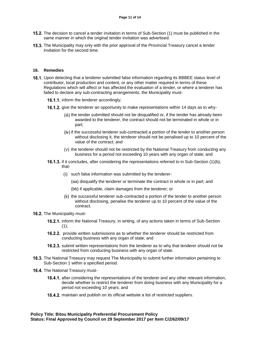- 15.2. The decision to cancel a tender invitation in terms of Sub-Section (1) must be published in the same manner in which the original tender invitation was advertised.
- 15.3. The Municipality may only with the prior approval of the Provincial Treasury cancel a tender invitation for the second time.

#### **16. Remedies**

- 16.1. Upon detecting that a tenderer submitted false information regarding its BBBEE status level of contributor, local production and content, or any other matter required in terms of these Regulations which will affect or has affected the evaluation of a tender, or where a tenderer has failed to declare any sub-contracting arrangements, the Municipality must-
	- 16.1.1. inform the tenderer accordingly;
	- 16.1.2. give the tenderer an opportunity to make representations within 14 days as to why-
		- (iii) the tender submitted should not be disqualified or, if the tender has already been awarded to the tenderer, the contract should not be terminated in whole or in part;
		- (iv) if the successful tenderer sub-contracted a portion of the tender to another person without disclosing it, the tenderer should not be penalised up to 10 percent of the value of the contract; and
		- $(v)$  the tenderer should not be restricted by the National Treasury from conducting any business for a period not exceeding 10 years with any organ of state; and
	- **16.1.3.** if it concludes, after considering the representations referred to in Sub-Section  $(1)(b)$ , that-
		- (i) such false information was submitted by the tenderer-
			- (aa) disqualify the tenderer or terminate the contract in whole or in part; and
			- (bb) if applicable, claim damages from the tenderer; or
		- (ii) the successful tenderer sub-contracted a portion of the tender to another person without disclosing, penalise the tenderer up to 10 percent of the value of the contract.

#### 16.2. The Municipality must-

- **16.2.1.** inform the National Treasury, in writing, of any actions taken in terms of Sub-Section  $(1);$
- **16.2.2.** provide written submissions as to whether the tenderer should be restricted from conducting business with any organ of state; and
- 16.2.3. submit written representations from the tenderer as to why that tenderer should not be restricted from conducting business with any organ of state.
- 16.3. The National Treasury may request The Municipality to submit further information pertaining to Sub-Section 1 within a specified period.
- 16.4. The National Treasury must-
	- 16.4.1. after considering the representations of the tenderer and any other relevant information, decide whether to restrict the tenderer from doing business with any Municipality for a period not exceeding 10 years; and
	- 16.4.2. maintain and publish on its official website a list of restricted suppliers.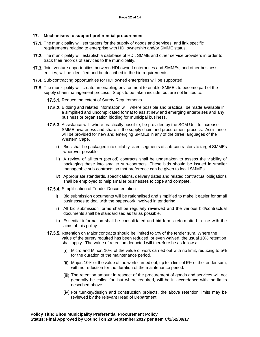#### **17. Mechanisms to support preferential procurement**

- **17.1.** The municipality will set targets for the supply of goods and services, and link specific requirements relating to enterprise with HDI ownership and/or SMME status.
- 17.2. The municipality will establish a database of HDI, SMME and other service providers in order to track their records of services to the municipality.
- 17.3. Joint venture opportunities between HDI owned enterprises and SMMEs, and other business entities, will be identified and be described in the bid requirements.
- 17.4. Sub-contracting opportunities for HDI owned enterprises will be supported.
- **17.5.** The municipality will create an enabling environment to enable SMMEs to become part of the supply chain management process. Steps to be taken include, but are not limited to:
	- 17.5.1. Reduce the extent of Surety Requirements
	- 17.5.2. Bidding and related information will, where possible and practical, be made available in a simplified and uncomplicated format to assist new and emerging enterprises and any business or organisation bidding for municipal business.
	- 17.5.3. Assistance will, where practically possible, be provided by the SCM Unit to increase SMME awareness and share in the supply chain and procurement process. Assistance will be provided for new and emerging SMMEs in any of the three languages of the Western Cape.
		- ii) Bids shall be packaged into suitably sized segments of sub-contractors to target SMMEs wherever possible.
		- iii) A review of all term (period) contracts shall be undertaken to assess the viability of packaging these into smaller sub-contracts. These bids should be issued in smaller manageable sub-contracts so that preference can be given to local SMMEs.
		- iv) Appropriate standards, specifications, delivery dates and related contractual obligations shall be employed to help smaller businesses to cope and compete.
	- 17.5.4. Simplification of Tender Documentation
		- i) Bid submission documents will be rationalised and simplified to make it easier for small businesses to deal with the paperwork involved in tendering.
		- ii) All bid submission forms shall be regularly reviewed and the various bid/contractual documents shall be standardised as far as possible.
		- iii) Essential information shall be consolidated and bid forms reformatted in line with the aims of this policy.
	- 17.5.5. Retention on Major contracts should be limited to 5% of the tender sum. Where the value of the surety required has been reduced, or even waived, the usual 10% retention shall apply. The value of retention deducted will therefore be as follows:
		- Micro and Minor: 10% of the value of work carried out with no limit, reducing to 5% for the duration of the maintenance period.
		- Major: 10% of the value of the work carried out, up to a limit of 5% of the tender sum, with no reduction for the duration of the maintenance period.
		- (iii) The retention amount in respect of the procurement of goods and services will not generally be called for, but where required, will be in accordance with the limits described above.
		- For turnkey/design and construction projects, the above retention limits may be reviewed by the relevant Head of Department.